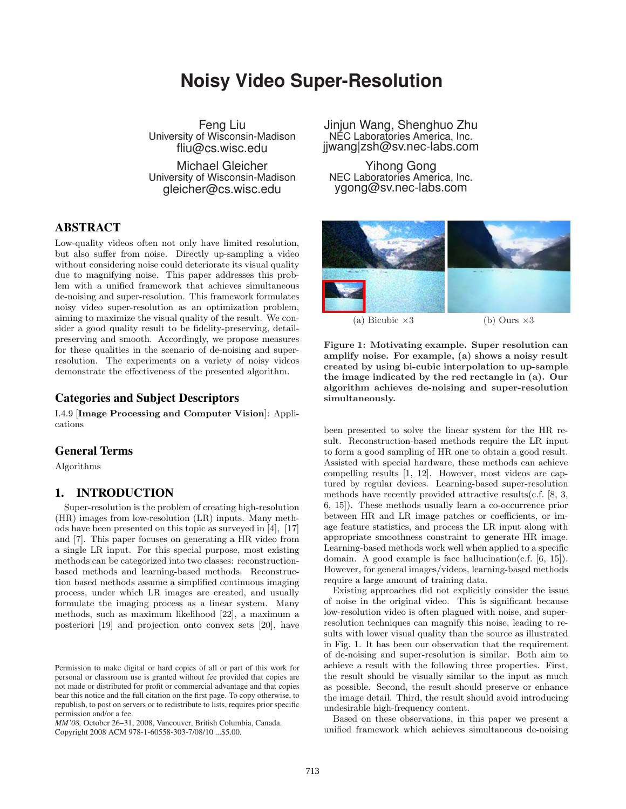# **Noisy Video Super-Resolution**

Feng Liu University of Wisconsin-Madison fliu@cs.wisc.edu

Michael Gleicher University of Wisconsin-Madison gleicher@cs.wisc.edu

# ABSTRACT

Low-quality videos often not only have limited resolution, but also suffer from noise. Directly up-sampling a video without considering noise could deteriorate its visual quality due to magnifying noise. This paper addresses this problem with a unified framework that achieves simultaneous de-noising and super-resolution. This framework formulates noisy video super-resolution as an optimization problem, aiming to maximize the visual quality of the result. We consider a good quality result to be fidelity-preserving, detailpreserving and smooth. Accordingly, we propose measures for these qualities in the scenario of de-noising and superresolution. The experiments on a variety of noisy videos demonstrate the effectiveness of the presented algorithm.

# Categories and Subject Descriptors

I.4.9 [Image Processing and Computer Vision]: Applications

# General Terms

Algorithms

## 1. INTRODUCTION

Super-resolution is the problem of creating high-resolution (HR) images from low-resolution (LR) inputs. Many methods have been presented on this topic as surveyed in [4], [17] and [7]. This paper focuses on generating a HR video from a single LR input. For this special purpose, most existing methods can be categorized into two classes: reconstructionbased methods and learning-based methods. Reconstruction based methods assume a simplified continuous imaging process, under which LR images are created, and usually formulate the imaging process as a linear system. Many methods, such as maximum likelihood [22], a maximum a posteriori [19] and projection onto convex sets [20], have

*MM'08,* October 26–31, 2008, Vancouver, British Columbia, Canada. Copyright 2008 ACM 978-1-60558-303-7/08/10 ...\$5.00.

Jinjun Wang, Shenghuo Zhu NEC Laboratories America, Inc. jjwang|zsh@sv.nec-labs.com

Yihong Gong NEC Laboratories America, Inc. ygong@sv.nec-labs.com



(a) Bicubic  $\times 3$  (b) Ours  $\times 3$ 

Figure 1: Motivating example. Super resolution can amplify noise. For example, (a) shows a noisy result created by using bi-cubic interpolation to up-sample the image indicated by the red rectangle in (a). Our algorithm achieves de-noising and super-resolution simultaneously.

been presented to solve the linear system for the HR result. Reconstruction-based methods require the LR input to form a good sampling of HR one to obtain a good result. Assisted with special hardware, these methods can achieve compelling results [1, 12]. However, most videos are captured by regular devices. Learning-based super-resolution methods have recently provided attractive results(c.f. [8, 3, 6, 15]). These methods usually learn a co-occurrence prior between HR and LR image patches or coefficients, or image feature statistics, and process the LR input along with appropriate smoothness constraint to generate HR image. Learning-based methods work well when applied to a specific domain. A good example is face hallucination(c.f. [6, 15]). However, for general images/videos, learning-based methods require a large amount of training data.

Existing approaches did not explicitly consider the issue of noise in the original video. This is significant because low-resolution video is often plagued with noise, and superresolution techniques can magnify this noise, leading to results with lower visual quality than the source as illustrated in Fig. 1. It has been our observation that the requirement of de-noising and super-resolution is similar. Both aim to achieve a result with the following three properties. First, the result should be visually similar to the input as much as possible. Second, the result should preserve or enhance the image detail. Third, the result should avoid introducing undesirable high-frequency content.

Based on these observations, in this paper we present a unified framework which achieves simultaneous de-noising

Permission to make digital or hard copies of all or part of this work for personal or classroom use is granted without fee provided that copies are not made or distributed for profit or commercial advantage and that copies bear this notice and the full citation on the first page. To copy otherwise, to republish, to post on servers or to redistribute to lists, requires prior specific permission and/or a fee.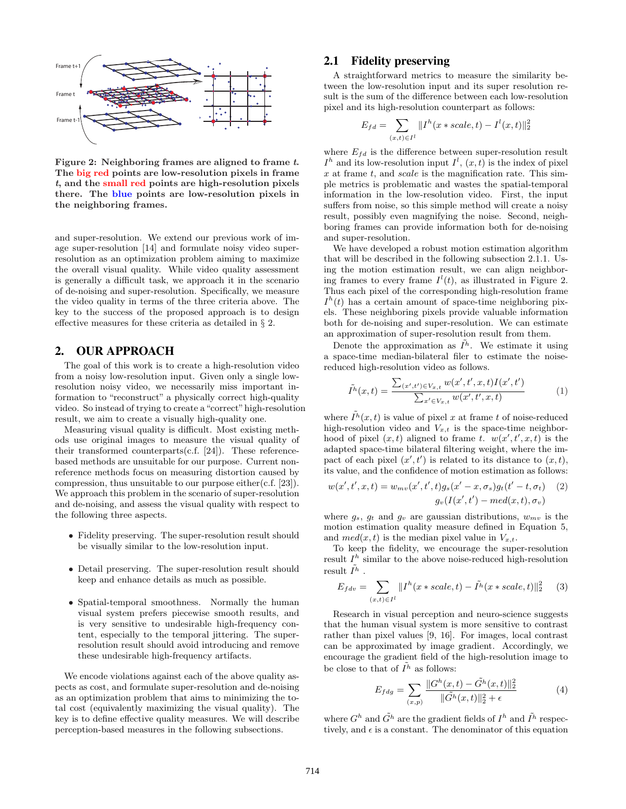

Figure 2: Neighboring frames are aligned to frame t. The big red points are low-resolution pixels in frame t, and the small red points are high-resolution pixels there. The blue points are low-resolution pixels in the neighboring frames.

and super-resolution. We extend our previous work of image super-resolution [14] and formulate noisy video superresolution as an optimization problem aiming to maximize the overall visual quality. While video quality assessment is generally a difficult task, we approach it in the scenario of de-noising and super-resolution. Specifically, we measure the video quality in terms of the three criteria above. The key to the success of the proposed approach is to design effective measures for these criteria as detailed in § 2.

# 2. OUR APPROACH

The goal of this work is to create a high-resolution video from a noisy low-resolution input. Given only a single lowresolution noisy video, we necessarily miss important information to "reconstruct" a physically correct high-quality video. So instead of trying to create a"correct"high-resolution result, we aim to create a visually high-quality one.

Measuring visual quality is difficult. Most existing methods use original images to measure the visual quality of their transformed counterparts(c.f. [24]). These referencebased methods are unsuitable for our purpose. Current nonreference methods focus on measuring distortion caused by compression, thus unsuitable to our purpose either(c.f. [23]). We approach this problem in the scenario of super-resolution and de-noising, and assess the visual quality with respect to the following three aspects.

- Fidelity preserving. The super-resolution result should be visually similar to the low-resolution input.
- Detail preserving. The super-resolution result should keep and enhance details as much as possible.
- Spatial-temporal smoothness. Normally the human visual system prefers piecewise smooth results, and is very sensitive to undesirable high-frequency content, especially to the temporal jittering. The superresolution result should avoid introducing and remove these undesirable high-frequency artifacts.

We encode violations against each of the above quality aspects as cost, and formulate super-resolution and de-noising as an optimization problem that aims to minimizing the total cost (equivalently maximizing the visual quality). The key is to define effective quality measures. We will describe perception-based measures in the following subsections.

# 2.1 Fidelity preserving

A straightforward metrics to measure the similarity between the low-resolution input and its super resolution result is the sum of the difference between each low-resolution pixel and its high-resolution counterpart as follows:

$$
E_{fd} = \sum_{(x,t) \in I^l} ||I^h(x \ast scale, t) - I^l(x, t)||_2^2
$$

where  $E_{fd}$  is the difference between super-resolution result  $I<sup>h</sup>$  and its low-resolution input  $I<sup>l</sup>$ ,  $(x, t)$  is the index of pixel  $x$  at frame  $t$ , and  $scale$  is the magnification rate. This simple metrics is problematic and wastes the spatial-temporal information in the low-resolution video. First, the input suffers from noise, so this simple method will create a noisy result, possibly even magnifying the noise. Second, neighboring frames can provide information both for de-noising and super-resolution.

We have developed a robust motion estimation algorithm that will be described in the following subsection 2.1.1. Using the motion estimation result, we can align neighboring frames to every frame  $I^l(t)$ , as illustrated in Figure 2. Thus each pixel of the corresponding high-resolution frame  $I<sup>h</sup>(t)$  has a certain amount of space-time neighboring pixels. These neighboring pixels provide valuable information both for de-noising and super-resolution. We can estimate an approximation of super-resolution result from them.

Denote the approximation as  $\tilde{I}^h$ . We estimate it using a space-time median-bilateral filer to estimate the noisereduced high-resolution video as follows.

$$
\tilde{I}^h(x,t) = \frac{\sum_{(x',t') \in V_{x,t}} w(x',t',x,t) I(x',t')}{\sum_{x' \in V_{x,t}} w(x',t',x,t)}
$$
(1)

where  $\tilde{I}^h(x,t)$  is value of pixel x at frame t of noise-reduced high-resolution video and  $V_{x,t}$  is the space-time neighborhood of pixel  $(x, t)$  aligned to frame t.  $w(x', t', x, t)$  is the adapted space-time bilateral filtering weight, where the impact of each pixel  $(x', t')$  is related to its distance to  $(x, t)$ , its value, and the confidence of motion estimation as follows:

$$
w(x',t',x,t) = w_{mv}(x',t',t)g_s(x'-x,\sigma_s)g_t(t'-t,\sigma_t)
$$
 (2)  

$$
g_v(I(x',t') - med(x,t),\sigma_v)
$$

where  $g_s$ ,  $g_t$  and  $g_v$  are gaussian distributions,  $w_{mv}$  is the motion estimation quality measure defined in Equation 5, and  $med(x, t)$  is the median pixel value in  $V_{x,t}$ .

To keep the fidelity, we encourage the super-resolution result  $I<sup>h</sup>$  similar to the above noise-reduced high-resolution result  $\tilde{I^h}$  .

$$
E_{fdv} = \sum_{(x,t)\in I^l} ||I^h(x \ast scale, t) - \tilde{I}^h(x \ast scale, t)||_2^2 \quad (3)
$$

Research in visual perception and neuro-science suggests that the human visual system is more sensitive to contrast rather than pixel values [9, 16]. For images, local contrast can be approximated by image gradient. Accordingly, we encourage the gradient field of the high-resolution image to be close to that of  $\tilde{I}^h$  as follows:

$$
E_{fdg} = \sum_{(x,p)} \frac{\|G^h(x,t) - \tilde{G}^h(x,t)\|_2^2}{\|\tilde{G}^h(x,t)\|_2^2 + \epsilon} \tag{4}
$$

where  $G^h$  and  $\tilde{G}^h$  are the gradient fields of  $I^h$  and  $\tilde{I}^h$  respectively, and  $\epsilon$  is a constant. The denominator of this equation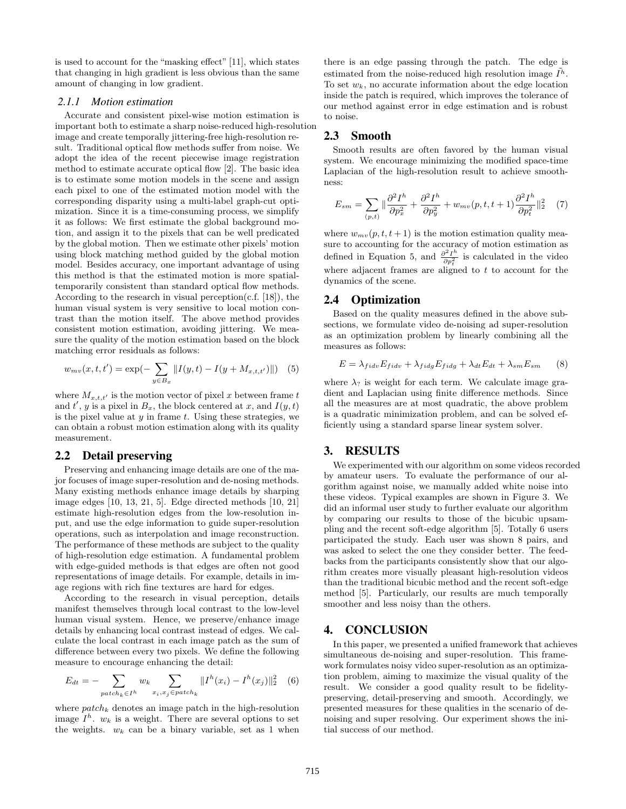is used to account for the "masking effect" [11], which states that changing in high gradient is less obvious than the same amount of changing in low gradient.

#### *2.1.1 Motion estimation*

Accurate and consistent pixel-wise motion estimation is important both to estimate a sharp noise-reduced high-resolution image and create temporally jittering-free high-resolution result. Traditional optical flow methods suffer from noise. We adopt the idea of the recent piecewise image registration method to estimate accurate optical flow [2]. The basic idea is to estimate some motion models in the scene and assign each pixel to one of the estimated motion model with the corresponding disparity using a multi-label graph-cut optimization. Since it is a time-consuming process, we simplify it as follows: We first estimate the global background motion, and assign it to the pixels that can be well predicated by the global motion. Then we estimate other pixels' motion using block matching method guided by the global motion model. Besides accuracy, one important advantage of using this method is that the estimated motion is more spatialtemporarily consistent than standard optical flow methods. According to the research in visual perception(c.f.  $[18]$ ), the human visual system is very sensitive to local motion contrast than the motion itself. The above method provides consistent motion estimation, avoiding jittering. We measure the quality of the motion estimation based on the block matching error residuals as follows:

$$
w_{mv}(x, t, t') = \exp(-\sum_{y \in B_x} ||I(y, t) - I(y + M_{x, t, t'})||)
$$
(5)

where  $M_{x,t,t'}$  is the motion vector of pixel x between frame t and  $t'$ , y is a pixel in  $B_x$ , the block centered at x, and  $I(y, t)$ is the pixel value at  $y$  in frame  $t$ . Using these strategies, we can obtain a robust motion estimation along with its quality measurement.

## 2.2 Detail preserving

Preserving and enhancing image details are one of the major focuses of image super-resolution and de-nosing methods. Many existing methods enhance image details by sharping image edges [10, 13, 21, 5]. Edge directed methods [10, 21] estimate high-resolution edges from the low-resolution input, and use the edge information to guide super-resolution operations, such as interpolation and image reconstruction. The performance of these methods are subject to the quality of high-resolution edge estimation. A fundamental problem with edge-guided methods is that edges are often not good representations of image details. For example, details in image regions with rich fine textures are hard for edges.

According to the research in visual perception, details manifest themselves through local contrast to the low-level human visual system. Hence, we preserve/enhance image details by enhancing local contrast instead of edges. We calculate the local contrast in each image patch as the sum of difference between every two pixels. We define the following measure to encourage enhancing the detail:

$$
E_{dt} = -\sum_{patch_k \in I^h} w_k \sum_{x_i, x_j \in patch_k} ||I^h(x_i) - I^h(x_j)||_2^2 \quad (6)
$$

where  $patch_k$  denotes an image patch in the high-resolution image  $I^h$ .  $w_k$  is a weight. There are several options to set the weights.  $w_k$  can be a binary variable, set as 1 when there is an edge passing through the patch. The edge is estimated from the noise-reduced high resolution image  $\tilde{I}^h$ . To set  $w_k$ , no accurate information about the edge location inside the patch is required, which improves the tolerance of our method against error in edge estimation and is robust to noise.

# 2.3 Smooth

Smooth results are often favored by the human visual system. We encourage minimizing the modified space-time Laplacian of the high-resolution result to achieve smoothness:

$$
E_{sm} = \sum_{(p,t)} \|\frac{\partial^2 I^h}{\partial p_x^2} + \frac{\partial^2 I^h}{\partial p_y^2} + w_{mv}(p,t,t+1) \frac{\partial^2 I^h}{\partial p_t^2}\|_2^2 \quad (7)
$$

where  $w_{mv}(p, t, t+1)$  is the motion estimation quality measure to accounting for the accuracy of motion estimation as defined in Equation 5, and  $\frac{\partial^2 I^h}{\partial p_t^2}$  is calculated in the video where adjacent frames are aligned to  $t$  to account for the dynamics of the scene.

# 2.4 Optimization

Based on the quality measures defined in the above subsections, we formulate video de-noising ad super-resolution as an optimization problem by linearly combining all the measures as follows:

$$
E = \lambda_{fidv} E_{fidv} + \lambda_{fidg} E_{fidg} + \lambda_{dt} E_{dt} + \lambda_{sm} E_{sm} \tag{8}
$$

where  $\lambda_?$  is weight for each term. We calculate image gradient and Laplacian using finite difference methods. Since all the measures are at most quadratic, the above problem is a quadratic minimization problem, and can be solved efficiently using a standard sparse linear system solver.

### 3. RESULTS

We experimented with our algorithm on some videos recorded by amateur users. To evaluate the performance of our algorithm against noise, we manually added white noise into these videos. Typical examples are shown in Figure 3. We did an informal user study to further evaluate our algorithm by comparing our results to those of the bicubic upsampling and the recent soft-edge algorithm [5]. Totally 6 users participated the study. Each user was shown 8 pairs, and was asked to select the one they consider better. The feedbacks from the participants consistently show that our algorithm creates more visually pleasant high-resolution videos than the traditional bicubic method and the recent soft-edge method [5]. Particularly, our results are much temporally smoother and less noisy than the others.

# 4. CONCLUSION

In this paper, we presented a unified framework that achieves simultaneous de-noising and super-resolution. This framework formulates noisy video super-resolution as an optimization problem, aiming to maximize the visual quality of the result. We consider a good quality result to be fidelitypreserving, detail-preserving and smooth. Accordingly, we presented measures for these qualities in the scenario of denoising and super resolving. Our experiment shows the initial success of our method.